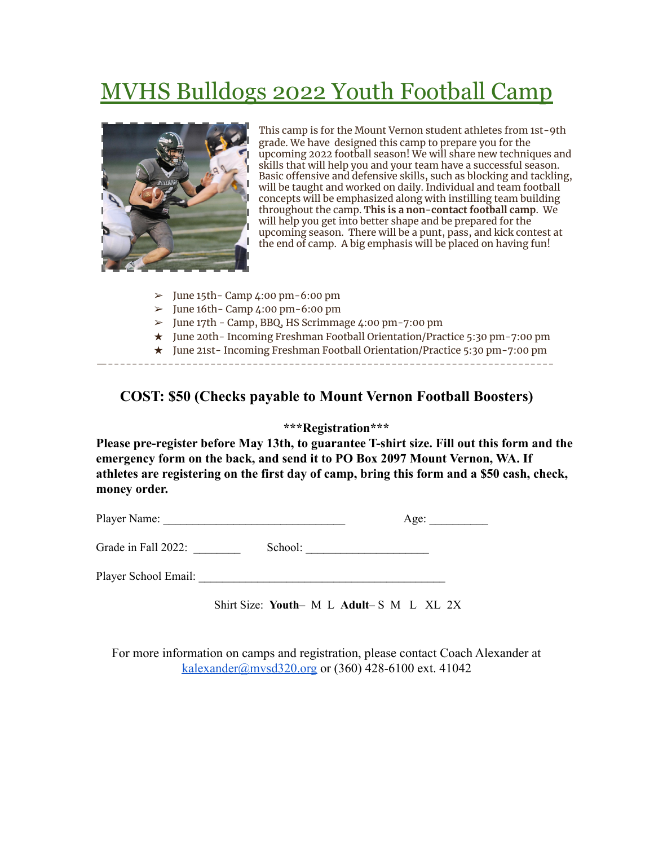# MVHS Bulldogs 2022 Youth Football Camp



This camp is for the Mount Vernon student athletes from 1st-9th grade. We have designed this camp to prepare you for the upcoming 2022 football season! We will share new techniques and skills that will help you and your team have a successful season. Basic offensive and defensive skills, such as blocking and tackling, will be taught and worked on daily. Individual and team football concepts will be emphasized along with instilling team building throughout the camp. **This is a non-contact football camp**. We will help you get into better shape and be prepared for the upcoming season. There will be a punt, pass, and kick contest at the end of camp. A big emphasis will be placed on having fun!

- $\geq$  June 15th Camp 4:00 pm 6:00 pm
- $\geq$  June 16th Camp 4:00 pm 6:00 pm
- ➢ June 17th Camp, BBQ, HS Scrimmage 4:00 pm-7:00 pm
- ★ June 20th- Incoming Freshman Football Orientation/Practice 5:30 pm-7:00 pm
- ★ June 21st- Incoming Freshman Football Orientation/Practice 5:30 pm-7:00 pm

—--------------------------------------------------------------------------

# **COST: \$50 (Checks payable to Mount Vernon Football Boosters)**

#### **\*\*\*Registration\*\*\***

**Please pre-register before May 13th, to guarantee T-shirt size. Fill out this form and the emergency form on the back, and send it to PO Box 2097 Mount Vernon, WA. If athletes are registering on the first day of camp, bring this form and a \$50 cash, check, money order.**

| Player Name: | $A$ $\sigma$ $\rho$ |
|--------------|---------------------|
|              |                     |

Grade in Fall 2022: School:

Player School Email:

Shirt Size: **Youth**– M L **Adult**– S M L XL 2X

For more information on camps and registration, please contact Coach Alexander at [kalexander@mvsd320.org](mailto:kalexander@mvsd320.org) or (360) 428-6100 ext. 41042